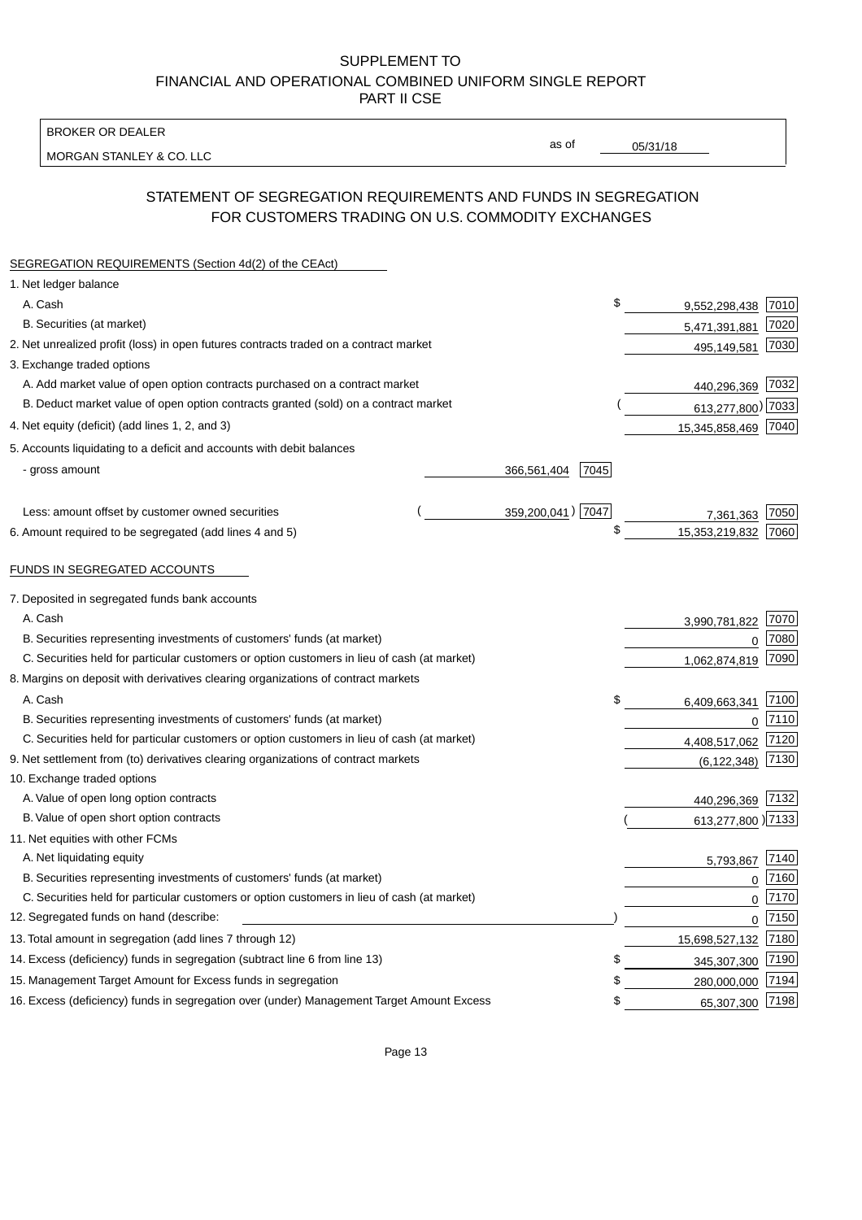BROKER OR DEALER

MORGAN STANLEY & CO. LLC

05/31/18

as of

# STATEMENT OF SEGREGATION REQUIREMENTS AND FUNDS IN SEGREGATION FOR CUSTOMERS TRADING ON U.S. COMMODITY EXCHANGES

| SEGREGATION REQUIREMENTS (Section 4d(2) of the CEAct)                                       |                     |    |                     |      |
|---------------------------------------------------------------------------------------------|---------------------|----|---------------------|------|
| 1. Net ledger balance                                                                       |                     |    |                     |      |
| A. Cash                                                                                     |                     | \$ | 9,552,298,438       | 7010 |
| B. Securities (at market)                                                                   |                     |    | 5,471,391,881       | 7020 |
| 2. Net unrealized profit (loss) in open futures contracts traded on a contract market       |                     |    | 495,149,581         | 7030 |
| 3. Exchange traded options                                                                  |                     |    |                     |      |
| A. Add market value of open option contracts purchased on a contract market                 |                     |    | 440,296,369         | 7032 |
| B. Deduct market value of open option contracts granted (sold) on a contract market         |                     |    | 613,277,800) 7033   |      |
| 4. Net equity (deficit) (add lines 1, 2, and 3)                                             |                     |    | 15,345,858,469      | 7040 |
| 5. Accounts liquidating to a deficit and accounts with debit balances                       |                     |    |                     |      |
| - gross amount                                                                              | 7045<br>366,561,404 |    |                     |      |
|                                                                                             |                     |    |                     |      |
| Less: amount offset by customer owned securities                                            | 359,200,041) 7047   |    | 7,361,363           | 7050 |
| 6. Amount required to be segregated (add lines 4 and 5)                                     |                     | \$ | 15,353,219,832      | 7060 |
|                                                                                             |                     |    |                     |      |
| FUNDS IN SEGREGATED ACCOUNTS                                                                |                     |    |                     |      |
| 7. Deposited in segregated funds bank accounts                                              |                     |    |                     |      |
| A. Cash                                                                                     |                     |    | 3,990,781,822       | 7070 |
| B. Securities representing investments of customers' funds (at market)                      |                     |    | $\Omega$            | 7080 |
| C. Securities held for particular customers or option customers in lieu of cash (at market) |                     |    | 1,062,874,819       | 7090 |
| 8. Margins on deposit with derivatives clearing organizations of contract markets           |                     |    |                     |      |
| A. Cash                                                                                     |                     | \$ | 6,409,663,341       | 7100 |
| B. Securities representing investments of customers' funds (at market)                      |                     |    | $\mathbf 0$         | 7110 |
| C. Securities held for particular customers or option customers in lieu of cash (at market) |                     |    | 4,408,517,062       | 7120 |
| 9. Net settlement from (to) derivatives clearing organizations of contract markets          |                     |    | (6, 122, 348)       | 7130 |
| 10. Exchange traded options                                                                 |                     |    |                     |      |
| A. Value of open long option contracts                                                      |                     |    | 440,296,369         | 7132 |
| B. Value of open short option contracts                                                     |                     |    | 613,277,800 )7133   |      |
| 11. Net equities with other FCMs                                                            |                     |    |                     |      |
| A. Net liquidating equity                                                                   |                     |    | 5,793,867           | 7140 |
| B. Securities representing investments of customers' funds (at market)                      |                     |    | $\Omega$            | 7160 |
| C. Securities held for particular customers or option customers in lieu of cash (at market) |                     |    | $\mathbf 0$         | 7170 |
| 12. Segregated funds on hand (describe:                                                     |                     |    | $\mathbf 0$         | 7150 |
| 13. Total amount in segregation (add lines 7 through 12)                                    |                     |    | 15,698,527,132 7180 |      |
| 14. Excess (deficiency) funds in segregation (subtract line 6 from line 13)                 |                     | S  | 345,307,300         | 7190 |
| 15. Management Target Amount for Excess funds in segregation                                |                     | \$ | 280,000,000         | 7194 |
| 16. Excess (deficiency) funds in segregation over (under) Management Target Amount Excess   |                     | \$ | 65,307,300          | 7198 |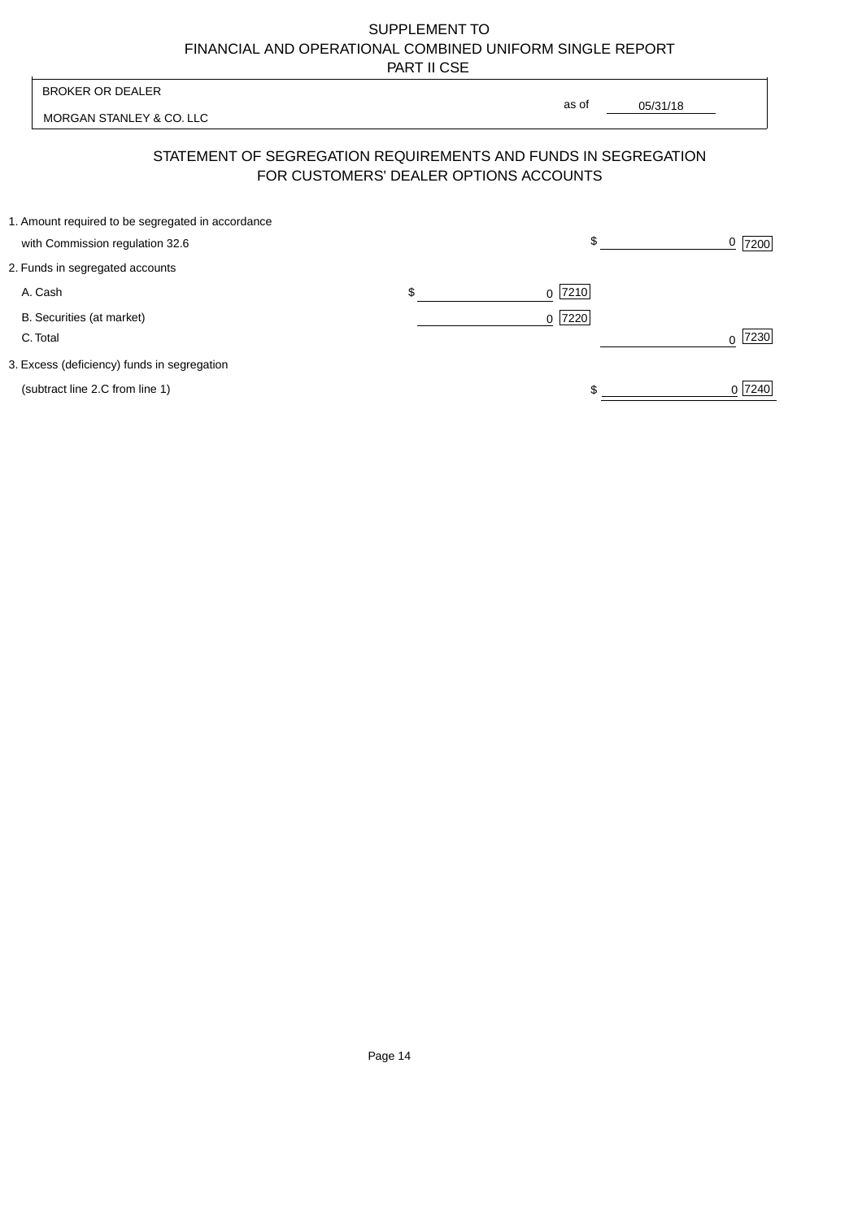| <b>BROKER OR DEALER</b>                           | as of                                                                                                    |                |
|---------------------------------------------------|----------------------------------------------------------------------------------------------------------|----------------|
| MORGAN STANLEY & CO. LLC                          | 05/31/18                                                                                                 |                |
|                                                   | STATEMENT OF SEGREGATION REQUIREMENTS AND FUNDS IN SEGREGATION<br>FOR CUSTOMERS' DEALER OPTIONS ACCOUNTS |                |
| 1. Amount required to be segregated in accordance |                                                                                                          |                |
| with Commission regulation 32.6                   | \$                                                                                                       | <u>0</u>  7200 |
| 2. Funds in segregated accounts                   |                                                                                                          |                |
| A. Cash                                           | \$<br>$0$  7210                                                                                          |                |
| B. Securities (at market)<br>C. Total             | 0 7220                                                                                                   | 7230           |
| 3. Excess (deficiency) funds in segregation       |                                                                                                          |                |
| (subtract line 2.C from line 1)                   |                                                                                                          | 0 7240         |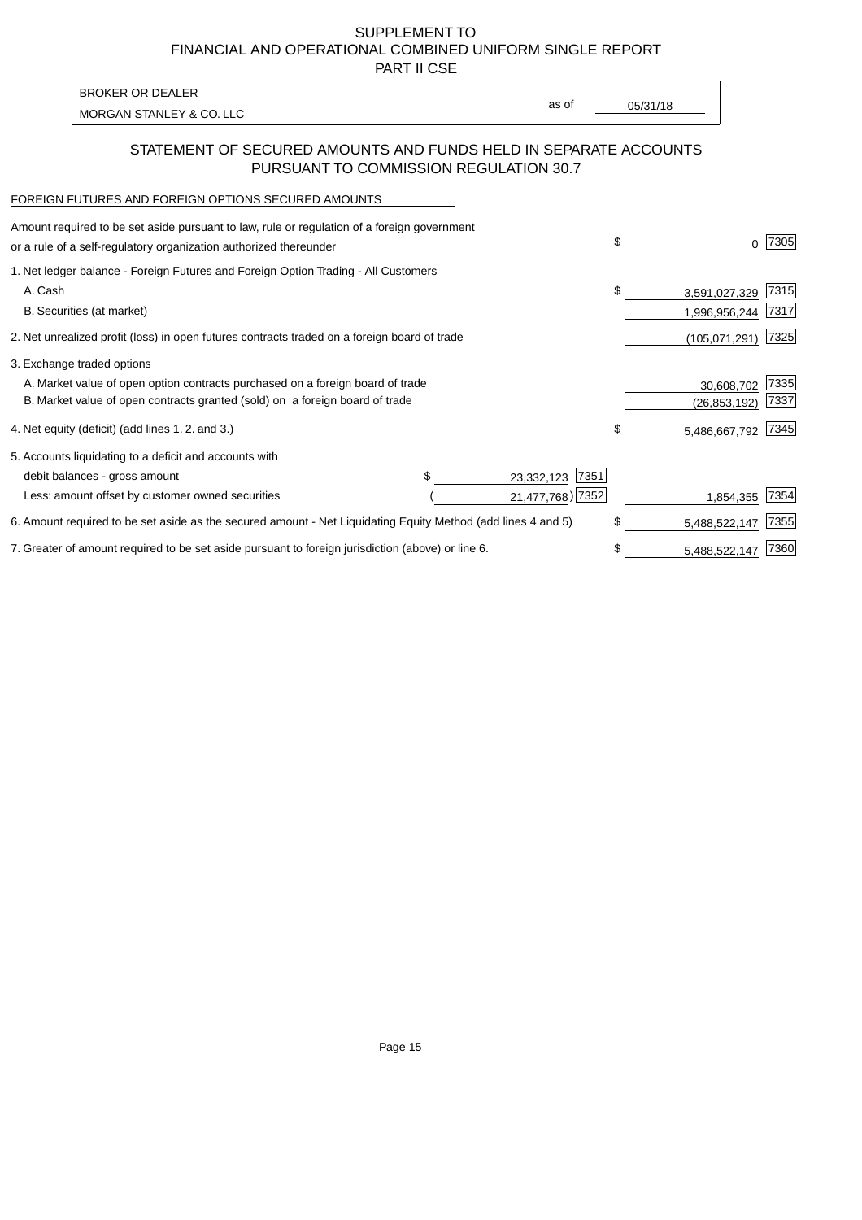PART II CSE

| BROKER OR DEALER         |       |          |
|--------------------------|-------|----------|
| MORGAN STANLEY & CO. LLC | as of | 05/31/18 |
|                          |       |          |

## STATEMENT OF SECURED AMOUNTS AND FUNDS HELD IN SEPARATE ACCOUNTS PURSUANT TO COMMISSION REGULATION 30.7

#### FOREIGN FUTURES AND FOREIGN OPTIONS SECURED AMOUNTS

| Amount required to be set aside pursuant to law, rule or regulation of a foreign government<br>or a rule of a self-regulatory organization authorized thereunder |                    | \$<br>0             | 7305 |
|------------------------------------------------------------------------------------------------------------------------------------------------------------------|--------------------|---------------------|------|
| 1. Net ledger balance - Foreign Futures and Foreign Option Trading - All Customers                                                                               |                    |                     |      |
| A. Cash                                                                                                                                                          |                    | \$<br>3,591,027,329 | 7315 |
| B. Securities (at market)                                                                                                                                        |                    | 1,996,956,244       | 7317 |
| 2. Net unrealized profit (loss) in open futures contracts traded on a foreign board of trade                                                                     |                    | (105,071,291)       | 7325 |
| 3. Exchange traded options                                                                                                                                       |                    |                     |      |
| A. Market value of open option contracts purchased on a foreign board of trade                                                                                   |                    | 30,608,702          | 7335 |
| B. Market value of open contracts granted (sold) on a foreign board of trade                                                                                     |                    | (26, 853, 192)      | 7337 |
| 4. Net equity (deficit) (add lines 1.2. and 3.)                                                                                                                  |                    | \$<br>5,486,667,792 | 7345 |
| 5. Accounts liquidating to a deficit and accounts with                                                                                                           |                    |                     |      |
| debit balances - gross amount                                                                                                                                    | 7351<br>23,332,123 |                     |      |
| Less: amount offset by customer owned securities                                                                                                                 | 21,477,768) 7352   | 1,854,355           | 7354 |
| 6. Amount required to be set aside as the secured amount - Net Liquidating Equity Method (add lines 4 and 5)                                                     |                    | \$<br>5,488,522,147 | 7355 |
| 7. Greater of amount required to be set aside pursuant to foreign jurisdiction (above) or line 6.                                                                |                    | \$<br>5,488,522,147 | 7360 |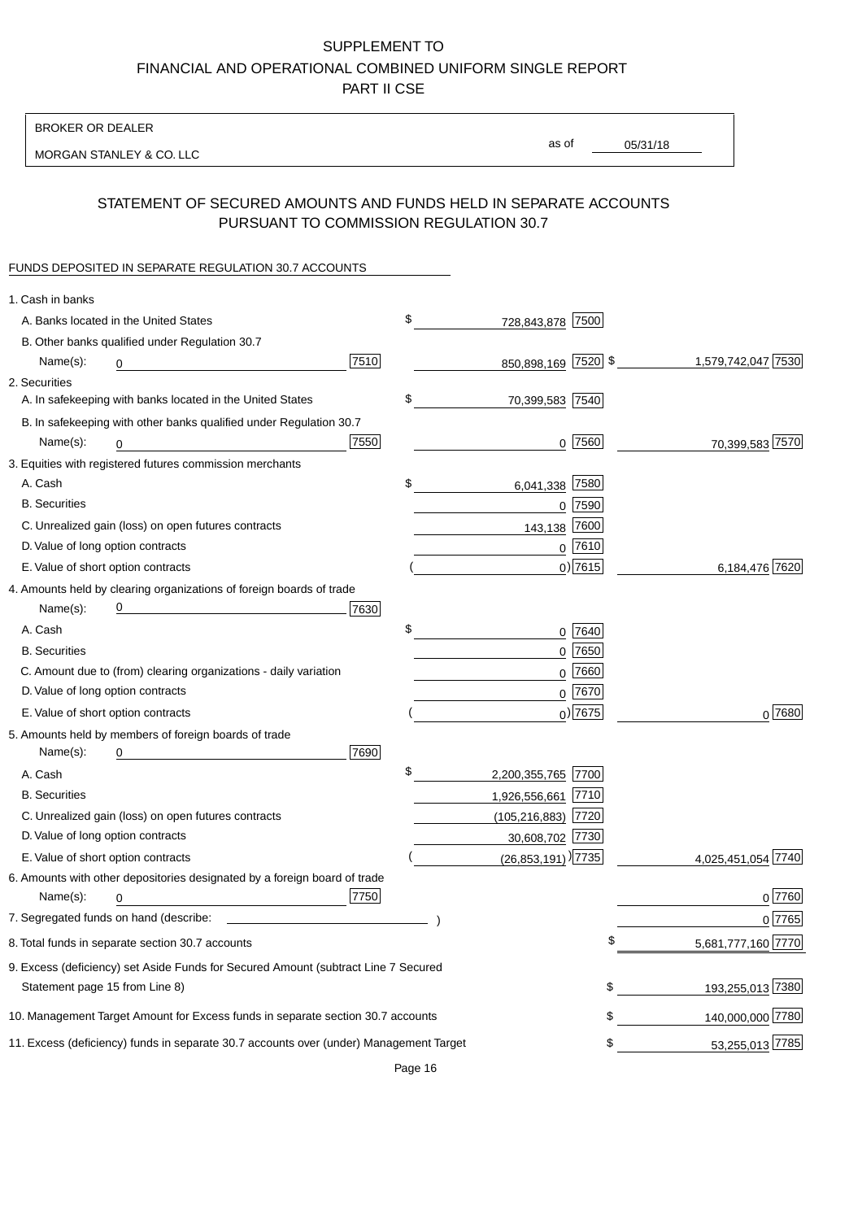BROKER OR DEALER

MORGAN STANLEY & CO. LLC

05/31/18 as of

# STATEMENT OF SECURED AMOUNTS AND FUNDS HELD IN SEPARATE ACCOUNTS PURSUANT TO COMMISSION REGULATION 30.7

### FUNDS DEPOSITED IN SEPARATE REGULATION 30.7 ACCOUNTS

| 1. Cash in banks                                                                       |                                                          |            |
|----------------------------------------------------------------------------------------|----------------------------------------------------------|------------|
| A. Banks located in the United States                                                  | \$<br>728,843,878 7500                                   |            |
| B. Other banks qualified under Regulation 30.7                                         |                                                          |            |
| 7510<br>Name(s):<br>0                                                                  | 850,898,169 7520 \$<br>1,579,742,047 7530                |            |
| 2. Securities                                                                          |                                                          |            |
| A. In safekeeping with banks located in the United States                              | \$<br>70,399,583 7540                                    |            |
| B. In safekeeping with other banks qualified under Regulation 30.7                     |                                                          |            |
| 7550<br>Name(s):<br>0                                                                  | $0$  7560<br>70,399,583 7570                             |            |
| 3. Equities with registered futures commission merchants                               |                                                          |            |
| A. Cash                                                                                | \$<br>7580<br>6,041,338                                  |            |
| <b>B.</b> Securities                                                                   | $0$ 7590                                                 |            |
| C. Unrealized gain (loss) on open futures contracts                                    | 7600<br>143,138                                          |            |
| D. Value of long option contracts                                                      | $0$ 7610                                                 |            |
| E. Value of short option contracts                                                     | $0)$ 7615<br>6,184,476 7620                              |            |
| 4. Amounts held by clearing organizations of foreign boards of trade                   |                                                          |            |
| 7630<br>Name(s):                                                                       |                                                          |            |
| A. Cash                                                                                | \$<br>0 7640                                             |            |
| <b>B.</b> Securities                                                                   | $0$ 7650                                                 |            |
| C. Amount due to (from) clearing organizations - daily variation                       | $0$ 7660                                                 |            |
| D. Value of long option contracts                                                      | 0 7670                                                   |            |
| E. Value of short option contracts                                                     | $0)$ 7675                                                | $0^{7680}$ |
| 5. Amounts held by members of foreign boards of trade                                  |                                                          |            |
| Name(s):<br>7690<br>0                                                                  |                                                          |            |
| A. Cash                                                                                | \$<br>2,200,355,765 7700                                 |            |
| <b>B.</b> Securities                                                                   | 1,926,556,661 7710                                       |            |
| C. Unrealized gain (loss) on open futures contracts                                    | $(105, 216, 883)$ 7720                                   |            |
| D. Value of long option contracts                                                      | 30,608,702 7730                                          |            |
| E. Value of short option contracts                                                     | $(26,853,191)$ <sup>)</sup> [7735]<br>4,025,451,054 7740 |            |
| 6. Amounts with other depositories designated by a foreign board of trade              |                                                          |            |
| 7750<br>Name(s):<br>0                                                                  |                                                          | $0$ 7760   |
|                                                                                        |                                                          | 0 7765     |
| 8. Total funds in separate section 30.7 accounts                                       | 5,681,777,160 7770                                       |            |
| 9. Excess (deficiency) set Aside Funds for Secured Amount (subtract Line 7 Secured     |                                                          |            |
| Statement page 15 from Line 8)                                                         | 193,255,013 7380<br>\$                                   |            |
| 10. Management Target Amount for Excess funds in separate section 30.7 accounts        | 140,000,000 7780<br>\$                                   |            |
| 11. Excess (deficiency) funds in separate 30.7 accounts over (under) Management Target | 53,255,013 7785<br>\$                                    |            |